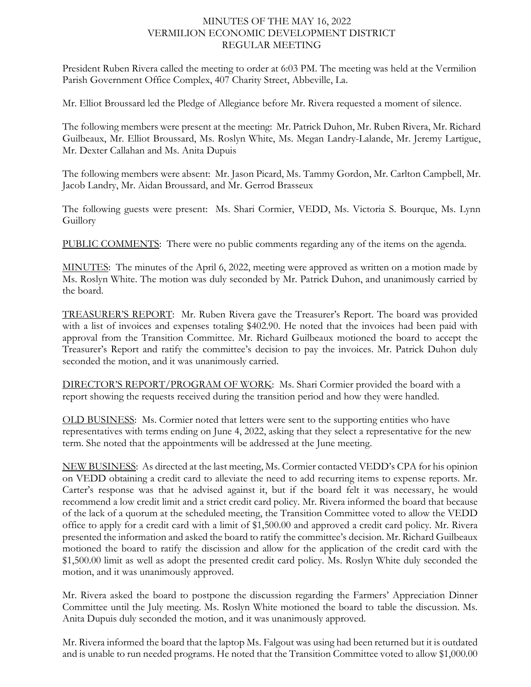## MINUTES OF THE MAY 16, 2022 VERMILION ECONOMIC DEVELOPMENT DISTRICT REGULAR MEETING

President Ruben Rivera called the meeting to order at 6:03 PM. The meeting was held at the Vermilion Parish Government Office Complex, 407 Charity Street, Abbeville, La.

Mr. Elliot Broussard led the Pledge of Allegiance before Mr. Rivera requested a moment of silence.

The following members were present at the meeting: Mr. Patrick Duhon, Mr. Ruben Rivera, Mr. Richard Guilbeaux, Mr. Elliot Broussard, Ms. Roslyn White, Ms. Megan Landry-Lalande, Mr. Jeremy Lartigue, Mr. Dexter Callahan and Ms. Anita Dupuis

The following members were absent: Mr. Jason Picard, Ms. Tammy Gordon, Mr. Carlton Campbell, Mr. Jacob Landry, Mr. Aidan Broussard, and Mr. Gerrod Brasseux

The following guests were present: Ms. Shari Cormier, VEDD, Ms. Victoria S. Bourque, Ms. Lynn Guillory

PUBLIC COMMENTS: There were no public comments regarding any of the items on the agenda.

MINUTES: The minutes of the April 6, 2022, meeting were approved as written on a motion made by Ms. Roslyn White. The motion was duly seconded by Mr. Patrick Duhon, and unanimously carried by the board.

TREASURER'S REPORT: Mr. Ruben Rivera gave the Treasurer's Report. The board was provided with a list of invoices and expenses totaling \$402.90. He noted that the invoices had been paid with approval from the Transition Committee. Mr. Richard Guilbeaux motioned the board to accept the Treasurer's Report and ratify the committee's decision to pay the invoices. Mr. Patrick Duhon duly seconded the motion, and it was unanimously carried.

DIRECTOR'S REPORT/PROGRAM OF WORK: Ms. Shari Cormier provided the board with a report showing the requests received during the transition period and how they were handled.

OLD BUSINESS: Ms. Cormier noted that letters were sent to the supporting entities who have representatives with terms ending on June 4, 2022, asking that they select a representative for the new term. She noted that the appointments will be addressed at the June meeting.

NEW BUSINESS: As directed at the last meeting, Ms. Cormier contacted VEDD's CPA for his opinion on VEDD obtaining a credit card to alleviate the need to add recurring items to expense reports. Mr. Carter's response was that he advised against it, but if the board felt it was necessary, he would recommend a low credit limit and a strict credit card policy. Mr. Rivera informed the board that because of the lack of a quorum at the scheduled meeting, the Transition Committee voted to allow the VEDD office to apply for a credit card with a limit of \$1,500.00 and approved a credit card policy. Mr. Rivera presented the information and asked the board to ratify the committee's decision. Mr. Richard Guilbeaux motioned the board to ratify the discission and allow for the application of the credit card with the \$1,500.00 limit as well as adopt the presented credit card policy. Ms. Roslyn White duly seconded the motion, and it was unanimously approved.

Mr. Rivera asked the board to postpone the discussion regarding the Farmers' Appreciation Dinner Committee until the July meeting. Ms. Roslyn White motioned the board to table the discussion. Ms. Anita Dupuis duly seconded the motion, and it was unanimously approved.

Mr. Rivera informed the board that the laptop Ms. Falgout was using had been returned but it is outdated and is unable to run needed programs. He noted that the Transition Committee voted to allow \$1,000.00